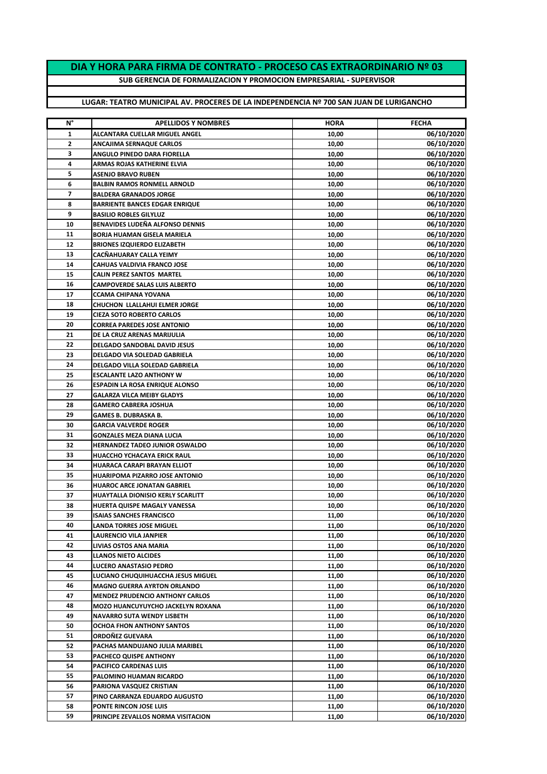## **DIA Y HORA PARA FIRMA DE CONTRATO - PROCESO CAS EXTRAORDINARIO Nº 03**

**SUB GERENCIA DE FORMALIZACION Y PROMOCION EMPRESARIAL - SUPERVISOR**

## **LUGAR: TEATRO MUNICIPAL AV. PROCERES DE LA INDEPENDENCIA Nº 700 SAN JUAN DE LURIGANCHO**

| N° | <b>APELLIDOS Y NOMBRES</b>             | <b>HORA</b> | <b>FECHA</b> |
|----|----------------------------------------|-------------|--------------|
| 1  | <b>ALCANTARA CUELLAR MIGUEL ANGEL</b>  | 10,00       | 06/10/2020   |
| 2  | ANCAJIMA SERNAQUE CARLOS               | 10,00       | 06/10/2020   |
| 3  | ANGULO PINEDO DARA FIORELLA            | 10,00       | 06/10/2020   |
| 4  | ARMAS ROJAS KATHERINE ELVIA            | 10,00       | 06/10/2020   |
| 5  | <b>ASENJO BRAVO RUBEN</b>              | 10,00       | 06/10/2020   |
| 6  | <b>BALBIN RAMOS RONMELL ARNOLD</b>     | 10,00       | 06/10/2020   |
| 7  | <b>BALDERA GRANADOS JORGE</b>          | 10,00       | 06/10/2020   |
| 8  | <b>BARRIENTE BANCES EDGAR ENRIQUE</b>  | 10,00       | 06/10/2020   |
| 9  | <b>BASILIO ROBLES GILYLUZ</b>          | 10,00       | 06/10/2020   |
| 10 | <b>BENAVIDES LUDEÑA ALFONSO DENNIS</b> | 10,00       | 06/10/2020   |
| 11 | BORJA HUAMAN GISELA MARIELA            | 10,00       | 06/10/2020   |
| 12 | <b>BRIONES IZQUIERDO ELIZABETH</b>     | 10,00       | 06/10/2020   |
| 13 | CACÑAHUARAY CALLA YEIMY                | 10,00       | 06/10/2020   |
| 14 | <b>CAHUAS VALDIVIA FRANCO JOSE</b>     | 10,00       | 06/10/2020   |
| 15 | <b>CALIN PEREZ SANTOS MARTEL</b>       | 10,00       | 06/10/2020   |
| 16 | <b>CAMPOVERDE SALAS LUIS ALBERTO</b>   | 10,00       | 06/10/2020   |
| 17 | <b>CCAMA CHIPANA YOVANA</b>            | 10,00       | 06/10/2020   |
| 18 | CHUCHON LLALLAHUI ELMER JORGE          | 10,00       | 06/10/2020   |
| 19 | <b>CIEZA SOTO ROBERTO CARLOS</b>       | 10,00       | 06/10/2020   |
| 20 | <b>CORREA PAREDES JOSE ANTONIO</b>     | 10,00       | 06/10/2020   |
| 21 | DE LA CRUZ ARENAS MARIJULIA            | 10,00       | 06/10/2020   |
| 22 | DELGADO SANDOBAL DAVID JESUS           | 10,00       | 06/10/2020   |
| 23 | DELGADO VIA SOLEDAD GABRIELA           | 10,00       | 06/10/2020   |
| 24 | DELGADO VILLA SOLEDAD GABRIELA         | 10,00       | 06/10/2020   |
| 25 | <b>ESCALANTE LAZO ANTHONY W</b>        | 10,00       | 06/10/2020   |
| 26 | <b>ESPADIN LA ROSA ENRIQUE ALONSO</b>  | 10,00       | 06/10/2020   |
| 27 | <b>GALARZA VILCA MEIBY GLADYS</b>      | 10,00       | 06/10/2020   |
| 28 | <b>GAMERO CABRERA JOSHUA</b>           | 10,00       | 06/10/2020   |
| 29 | GAMES B. DUBRASKA B.                   | 10,00       | 06/10/2020   |
| 30 | <b>GARCIA VALVERDE ROGER</b>           | 10,00       | 06/10/2020   |
| 31 | <b>GONZALES MEZA DIANA LUCIA</b>       | 10,00       | 06/10/2020   |
| 32 | HERNANDEZ TADEO JUNIOR OSWALDO         | 10,00       | 06/10/2020   |
| 33 | HUACCHO YCHACAYA ERICK RAUL            | 10,00       | 06/10/2020   |
| 34 | HUARACA CARAPI BRAYAN ELLIOT           | 10,00       | 06/10/2020   |
| 35 | HUARIPOMA PIZARRO JOSE ANTONIO         | 10,00       | 06/10/2020   |
| 36 | HUAROC ARCE JONATAN GABRIEL            | 10,00       | 06/10/2020   |
| 37 | HUAYTALLA DIONISIO KERLY SCARLITT      | 10,00       | 06/10/2020   |
| 38 | HUERTA QUISPE MAGALY VANESSA           | 10,00       | 06/10/2020   |
| 39 | <b>ISAIAS SANCHES FRANCISCO</b>        | 11,00       | 06/10/2020   |
| 40 | <b>LANDA TORRES JOSE MIGUEL</b>        | 11,00       | 06/10/2020   |
| 41 | LAURENCIO VILA JANPIER                 | 11,00       | 06/10/2020   |
| 42 | LIVIAS OSTOS ANA MARIA                 | 11,00       | 06/10/2020   |
| 43 | <b>LLANOS NIETO ALCIDES</b>            | 11,00       | 06/10/2020   |
| 44 | LUCERO ANASTASIO PEDRO                 | 11,00       | 06/10/2020   |
| 45 | LUCIANO CHUQUIHUACCHA JESUS MIGUEL     | 11,00       | 06/10/2020   |
| 46 | <b>MAGNO GUERRA AYRTON ORLANDO</b>     | 11,00       | 06/10/2020   |
| 47 | <b>MENDEZ PRUDENCIO ANTHONY CARLOS</b> | 11,00       | 06/10/2020   |
| 48 | MOZO HUANCUYUYCHO JACKELYN ROXANA      | 11,00       | 06/10/2020   |
| 49 | <b>NAVARRO SUTA WENDY LISBETH</b>      | 11,00       | 06/10/2020   |
| 50 | OCHOA FHON ANTHONY SANTOS              | 11,00       | 06/10/2020   |
| 51 | ORDOÑEZ GUEVARA                        | 11,00       | 06/10/2020   |
| 52 | PACHAS MANDUJANO JULIA MARIBEL         | 11,00       | 06/10/2020   |
| 53 | PACHECO QUISPE ANTHONY                 | 11,00       | 06/10/2020   |
| 54 | PACIFICO CARDENAS LUIS                 | 11,00       | 06/10/2020   |
| 55 | PALOMINO HUAMAN RICARDO                | 11,00       | 06/10/2020   |
| 56 | PARIONA VASQUEZ CRISTIAN               | 11,00       | 06/10/2020   |
| 57 | PINO CARRANZA EDUARDO AUGUSTO          | 11,00       | 06/10/2020   |
| 58 | PONTE RINCON JOSE LUIS                 | 11,00       | 06/10/2020   |
| 59 | PRINCIPE ZEVALLOS NORMA VISITACION     | 11,00       | 06/10/2020   |